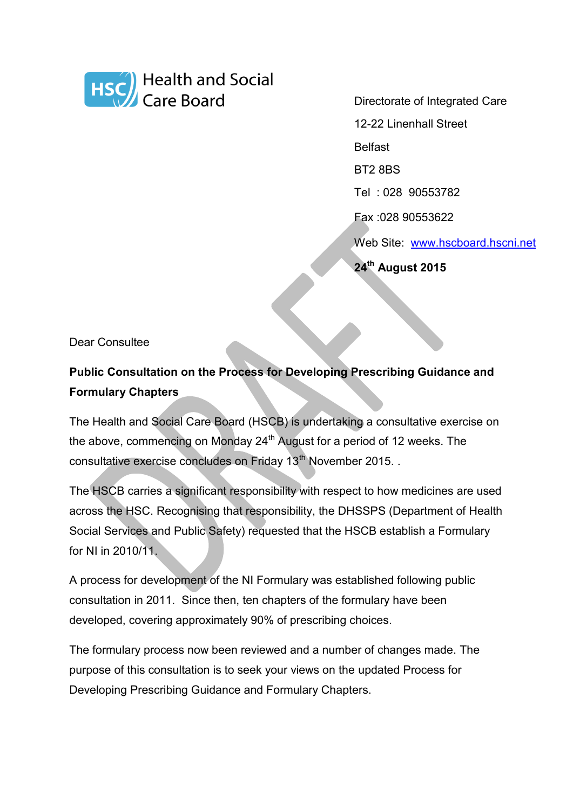

Directorate of Integrated Care

12-22 Linenhall Street

Belfast

BT2 8BS

Tel : 028 90553782

Fax :028 90553622

Web Site: [www.hscboard.hscni.net](http://www.hscboard.hscni.net/)

**24th August 2015**

Dear Consultee

## **Public Consultation on the Process for Developing Prescribing Guidance and Formulary Chapters**

The Health and Social Care Board (HSCB) is undertaking a consultative exercise on the above, commencing on Monday  $24<sup>th</sup>$  August for a period of 12 weeks. The consultative exercise concludes on Friday 13<sup>th</sup> November 2015. .

The HSCB carries a significant responsibility with respect to how medicines are used across the HSC. Recognising that responsibility, the DHSSPS (Department of Health Social Services and Public Safety) requested that the HSCB establish a Formulary for NI in 2010/11.

A process for development of the NI Formulary was established following public consultation in 2011. Since then, ten chapters of the formulary have been developed, covering approximately 90% of prescribing choices.

The formulary process now been reviewed and a number of changes made. The purpose of this consultation is to seek your views on the updated Process for Developing Prescribing Guidance and Formulary Chapters.